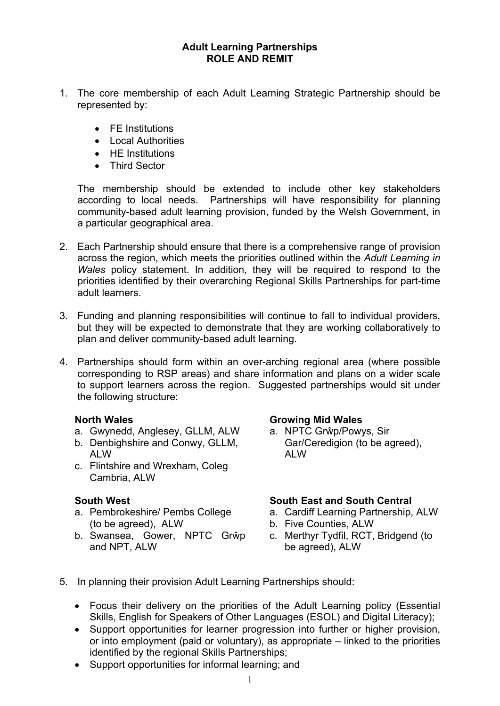## **Adult Learning Partnerships ROLE AND REMIT**

- 1. The core membership of each Adult Learning Strategic Partnership should be represented by:
	- FE Institutions
	- Local Authorities
	- **•** HF Institutions
	- Third Sector

The membership should be extended to include other key stakeholders according to local needs. Partnerships will have responsibility for planning community-based adult learning provision, funded by the Welsh Government, in a particular geographical area.

- 2. Each Partnership should ensure that there is a comprehensive range of provision across the region, which meets the priorities outlined within the *Adult Learning in Wales* policy statement. In addition, they will be required to respond to the priorities identified by their overarching Regional Skills Partnerships for part-time adult learners.
- 3. Funding and planning responsibilities will continue to fall to individual providers, but they will be expected to demonstrate that they are working collaboratively to plan and deliver community-based adult learning.
- 4. Partnerships should form within an over-arching regional area (where possible corresponding to RSP areas) and share information and plans on a wider scale to support learners across the region. Suggested partnerships would sit under the following structure:

### **North Wales**

- a. Gwynedd, Anglesey, GLLM, ALW
- b. Denbighshire and Conwy, GLLM, ALW
- c. Flintshire and Wrexham, Coleg Cambria, ALW

### **South West**

- a. Pembrokeshire/ Pembs College (to be agreed), ALW
- b. Swansea, Gower, NPTC Grŵp and NPT, ALW

### **Growing Mid Wales**

a. NPTC Grŵp/Powys, Sir Gar/Ceredigion (to be agreed), ALW

# **South East and South Central**

- a. Cardiff Learning Partnership, ALW
- b. Five Counties, ALW
- c. Merthyr Tydfil, RCT, Bridgend (to be agreed), ALW
- 5. In planning their provision Adult Learning Partnerships should:
	- Focus their delivery on the priorities of the Adult Learning policy (Essential Skills, English for Speakers of Other Languages (ESOL) and Digital Literacy);
	- Support opportunities for learner progression into further or higher provision, or into employment (paid or voluntary), as appropriate – linked to the priorities identified by the regional Skills Partnerships;
	- Support opportunities for informal learning; and